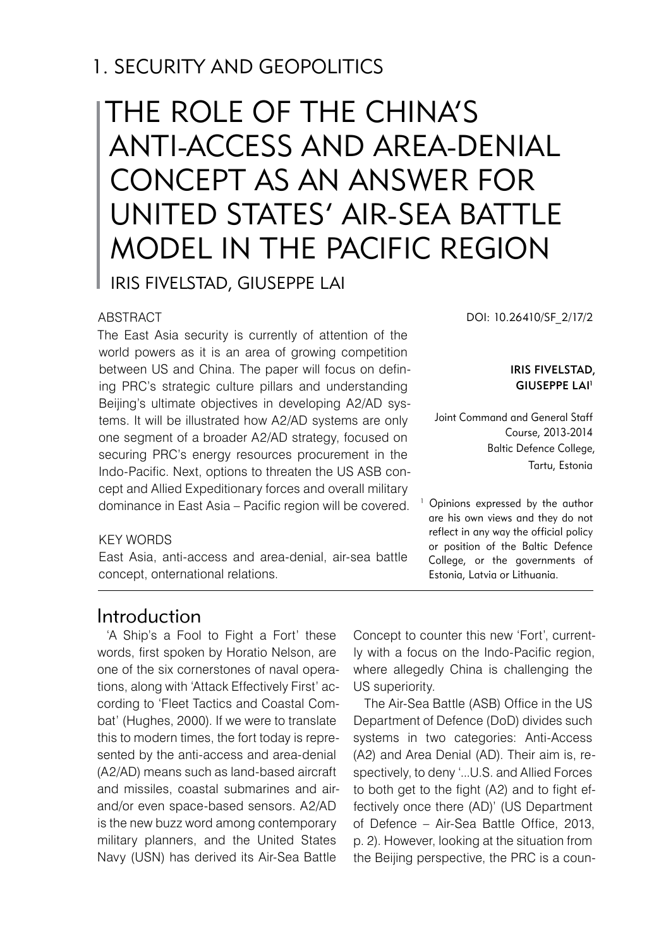## 1. SECURITY AND GEOPOLITICS

# THE ROLE OF THE CHINA'S ANTI-ACCESS AND AREA-DENIAL CONCEPT AS AN ANSWER FOR UNITED STATES' AIR-SEA BATTLE MODEL IN THE PACIFIC REGION Iris Fivelstad, Giuseppe Lai

#### **ABSTRACT**

The East Asia security is currently of attention of the world powers as it is an area of growing competition between US and China. The paper will focus on defining PRC's strategic culture pillars and understanding Beijing's ultimate objectives in developing A2/AD systems. It will be illustrated how A2/AD systems are only one segment of a broader A2/AD strategy, focused on securing PRC's energy resources procurement in the Indo-Pacific. Next, options to threaten the US ASB concept and Allied Expeditionary forces and overall military dominance in East Asia – Pacific region will be covered. DOI: 10.26410/SF\_2/17/2

#### Iris Fivelstad, Giuseppe Lai 1

Joint Command and General Staff Course, 2013-2014 Baltic Defence College, Tartu, Estonia

1 Opinions expressed by the author are his own views and they do not reflect in any way the official policy or position of the Baltic Defence College, or the governments of Estonia, Latvia or Lithuania.

#### KEY WORDS

East Asia, anti-access and area-denial, air-sea battle concept, onternational relations.

#### Introduction

'A Ship's a Fool to Fight a Fort' these words, first spoken by Horatio Nelson, are one of the six cornerstones of naval operations, along with 'Attack Effectively First' according to 'Fleet Tactics and Coastal Combat' (Hughes, 2000). If we were to translate this to modern times, the fort today is represented by the anti-access and area-denial (A2/AD) means such as land-based aircraft and missiles, coastal submarines and airand/or even space-based sensors. A2/AD is the new buzz word among contemporary military planners, and the United States Navy (USN) has derived its Air-Sea Battle

Concept to counter this new 'Fort', currently with a focus on the Indo-Pacific region, where allegedly China is challenging the US superiority.

The Air-Sea Battle (ASB) Office in the US Department of Defence (DoD) divides such systems in two categories: Anti-Access (A2) and Area Denial (AD). Their aim is, respectively, to deny '...U.S. and Allied Forces to both get to the fight (A2) and to fight effectively once there (AD)' (US Department of Defence – Air-Sea Battle Office, 2013, p. 2). However, looking at the situation from the Beijing perspective, the PRC is a coun-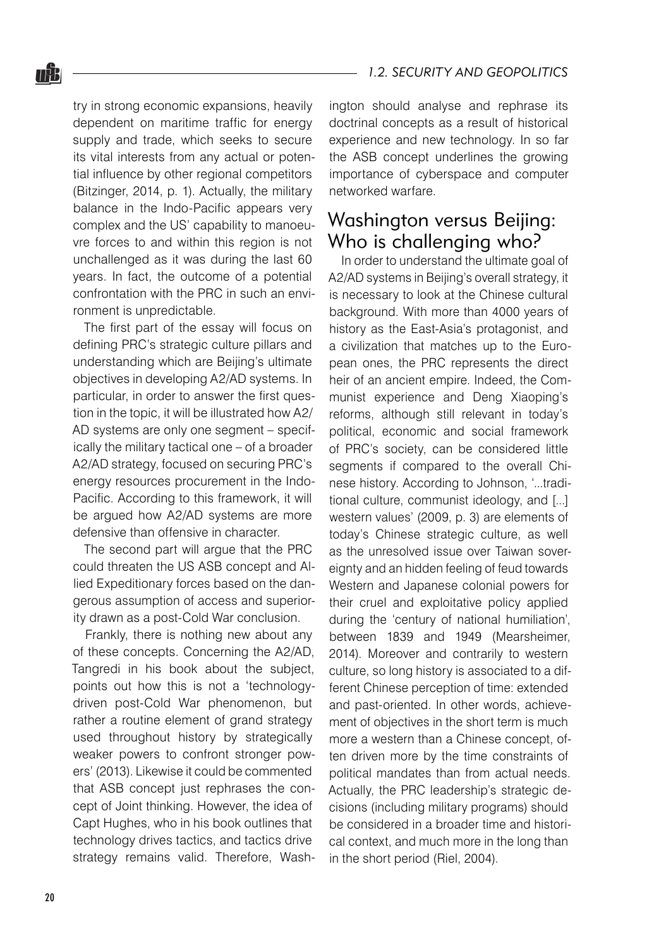20

#### *1.2. SECURITY AND GEOPOLITICS*

try in strong economic expansions, heavily dependent on maritime traffic for energy supply and trade, which seeks to secure its vital interests from any actual or potential influence by other regional competitors (Bitzinger, 2014, p. 1). Actually, the military balance in the Indo-Pacific appears very complex and the US' capability to manoeuvre forces to and within this region is not unchallenged as it was during the last 60 years. In fact, the outcome of a potential confrontation with the PRC in such an environment is unpredictable.

The first part of the essay will focus on defining PRC's strategic culture pillars and understanding which are Beijing's ultimate objectives in developing A2/AD systems. In particular, in order to answer the first question in the topic, it will be illustrated how A2/ AD systems are only one segment – specifically the military tactical one – of a broader A2/AD strategy, focused on securing PRC's energy resources procurement in the Indo-Pacific. According to this framework, it will be argued how A2/AD systems are more defensive than offensive in character.

The second part will argue that the PRC could threaten the US ASB concept and Allied Expeditionary forces based on the dangerous assumption of access and superiority drawn as a post-Cold War conclusion.

Frankly, there is nothing new about any of these concepts. Concerning the A2/AD, Tangredi in his book about the subject, points out how this is not a 'technologydriven post-Cold War phenomenon, but rather a routine element of grand strategy used throughout history by strategically weaker powers to confront stronger powers' (2013). Likewise it could be commented that ASB concept just rephrases the concept of Joint thinking. However, the idea of Capt Hughes, who in his book outlines that technology drives tactics, and tactics drive strategy remains valid. Therefore, Washington should analyse and rephrase its doctrinal concepts as a result of historical experience and new technology. In so far the ASB concept underlines the growing importance of cyberspace and computer networked warfare.

#### Washington versus Beijing: Who is challenging who?

In order to understand the ultimate goal of A2/AD systems in Beijing's overall strategy, it is necessary to look at the Chinese cultural background. With more than 4000 years of history as the East-Asia's protagonist, and a civilization that matches up to the European ones, the PRC represents the direct heir of an ancient empire. Indeed, the Communist experience and Deng Xiaoping's reforms, although still relevant in today's political, economic and social framework of PRC's society, can be considered little segments if compared to the overall Chinese history. According to Johnson, '...traditional culture, communist ideology, and [...] western values' (2009, p. 3) are elements of today's Chinese strategic culture, as well as the unresolved issue over Taiwan sovereignty and an hidden feeling of feud towards Western and Japanese colonial powers for their cruel and exploitative policy applied during the 'century of national humiliation', between 1839 and 1949 (Mearsheimer, 2014). Moreover and contrarily to western culture, so long history is associated to a different Chinese perception of time: extended and past-oriented. In other words, achievement of objectives in the short term is much more a western than a Chinese concept, often driven more by the time constraints of political mandates than from actual needs. Actually, the PRC leadership's strategic decisions (including military programs) should be considered in a broader time and historical context, and much more in the long than in the short period (Riel, 2004).

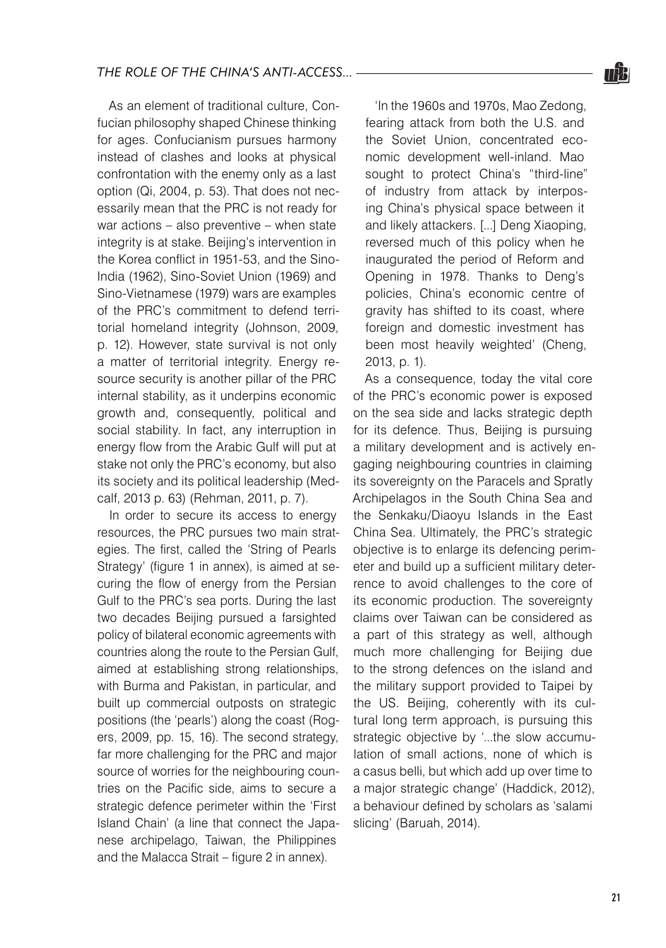As an element of traditional culture, Confucian philosophy shaped Chinese thinking for ages. Confucianism pursues harmony instead of clashes and looks at physical confrontation with the enemy only as a last option (Qi, 2004, p. 53). That does not necessarily mean that the PRC is not ready for war actions – also preventive – when state integrity is at stake. Beijing's intervention in the Korea conflict in 1951-53, and the Sino-India (1962), Sino-Soviet Union (1969) and Sino-Vietnamese (1979) wars are examples of the PRC's commitment to defend territorial homeland integrity (Johnson, 2009, p. 12). However, state survival is not only a matter of territorial integrity. Energy resource security is another pillar of the PRC internal stability, as it underpins economic growth and, consequently, political and social stability. In fact, any interruption in energy flow from the Arabic Gulf will put at stake not only the PRC's economy, but also its society and its political leadership (Medcalf, 2013 p. 63) (Rehman, 2011, p. 7).

In order to secure its access to energy resources, the PRC pursues two main strategies. The first, called the 'String of Pearls Strategy' (figure 1 in annex), is aimed at securing the flow of energy from the Persian Gulf to the PRC's sea ports. During the last two decades Beijing pursued a farsighted policy of bilateral economic agreements with countries along the route to the Persian Gulf, aimed at establishing strong relationships, with Burma and Pakistan, in particular, and built up commercial outposts on strategic positions (the 'pearls') along the coast (Rogers, 2009, pp. 15, 16). The second strategy, far more challenging for the PRC and major source of worries for the neighbouring countries on the Pacific side, aims to secure a strategic defence perimeter within the 'First Island Chain' (a line that connect the Japanese archipelago, Taiwan, the Philippines and the Malacca Strait – figure 2 in annex).

'In the 1960s and 1970s, Mao Zedong, fearing attack from both the U.S. and the Soviet Union, concentrated economic development well-inland. Mao sought to protect China's "third-line" of industry from attack by interposing China's physical space between it and likely attackers. [...] Deng Xiaoping, reversed much of this policy when he inaugurated the period of Reform and Opening in 1978. Thanks to Deng's policies, China's economic centre of gravity has shifted to its coast, where foreign and domestic investment has been most heavily weighted' (Cheng, 2013, p. 1).

As a consequence, today the vital core of the PRC's economic power is exposed on the sea side and lacks strategic depth for its defence. Thus, Beijing is pursuing a military development and is actively engaging neighbouring countries in claiming its sovereignty on the Paracels and Spratly Archipelagos in the South China Sea and the Senkaku/Diaoyu Islands in the East China Sea. Ultimately, the PRC's strategic objective is to enlarge its defencing perimeter and build up a sufficient military deterrence to avoid challenges to the core of its economic production. The sovereignty claims over Taiwan can be considered as a part of this strategy as well, although much more challenging for Beijing due to the strong defences on the island and the military support provided to Taipei by the US. Beijing, coherently with its cultural long term approach, is pursuing this strategic objective by '...the slow accumulation of small actions, none of which is a casus belli, but which add up over time to a major strategic change' (Haddick, 2012), a behaviour defined by scholars as 'salami slicing' (Baruah, 2014).

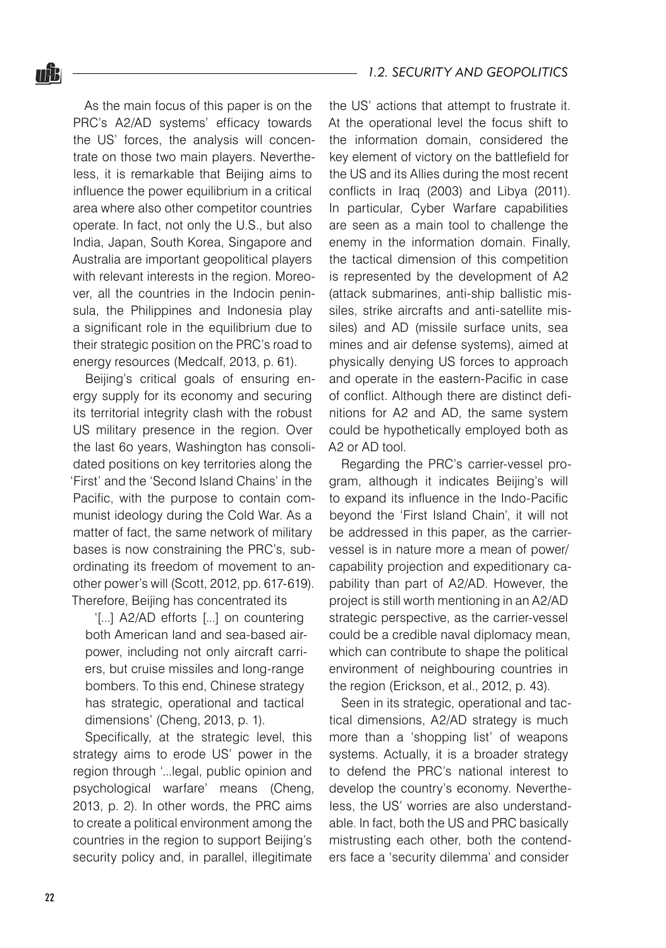As the main focus of this paper is on the PRC's A2/AD systems' efficacy towards the US' forces, the analysis will concentrate on those two main players. Nevertheless, it is remarkable that Beijing aims to influence the power equilibrium in a critical area where also other competitor countries operate. In fact, not only the U.S., but also India, Japan, South Korea, Singapore and Australia are important geopolitical players with relevant interests in the region. Moreover, all the countries in the Indocin peninsula, the Philippines and Indonesia play a significant role in the equilibrium due to their strategic position on the PRC's road to energy resources (Medcalf, 2013, p. 61).

Beijing's critical goals of ensuring energy supply for its economy and securing its territorial integrity clash with the robust US military presence in the region. Over the last 6o years, Washington has consolidated positions on key territories along the 'First' and the 'Second Island Chains' in the Pacific, with the purpose to contain communist ideology during the Cold War. As a matter of fact, the same network of military bases is now constraining the PRC's, subordinating its freedom of movement to another power's will (Scott, 2012, pp. 617-619). Therefore, Beijing has concentrated its

'[...] A2/AD efforts [...] on countering both American land and sea-based airpower, including not only aircraft carriers, but cruise missiles and long-range bombers. To this end, Chinese strategy has strategic, operational and tactical dimensions' (Cheng, 2013, p. 1).

Specifically, at the strategic level, this strategy aims to erode US' power in the region through '...legal, public opinion and psychological warfare' means (Cheng, 2013, p. 2). In other words, the PRC aims to create a political environment among the countries in the region to support Beijing's security policy and, in parallel, illegitimate

the US' actions that attempt to frustrate it. At the operational level the focus shift to the information domain, considered the key element of victory on the battlefield for the US and its Allies during the most recent conflicts in Iraq (2003) and Libya (2011). In particular, Cyber Warfare capabilities are seen as a main tool to challenge the enemy in the information domain. Finally, the tactical dimension of this competition is represented by the development of A2 (attack submarines, anti-ship ballistic missiles, strike aircrafts and anti-satellite missiles) and AD (missile surface units, sea mines and air defense systems), aimed at physically denying US forces to approach and operate in the eastern-Pacific in case of conflict. Although there are distinct definitions for A2 and AD, the same system could be hypothetically employed both as A2 or AD tool.

Regarding the PRC's carrier-vessel program, although it indicates Beijing's will to expand its influence in the Indo-Pacific beyond the 'First Island Chain', it will not be addressed in this paper, as the carriervessel is in nature more a mean of power/ capability projection and expeditionary capability than part of A2/AD. However, the project is still worth mentioning in an A2/AD strategic perspective, as the carrier-vessel could be a credible naval diplomacy mean, which can contribute to shape the political environment of neighbouring countries in the region (Erickson, et al., 2012, p. 43).

Seen in its strategic, operational and tactical dimensions, A2/AD strategy is much more than a 'shopping list' of weapons systems. Actually, it is a broader strategy to defend the PRC's national interest to develop the country's economy. Nevertheless, the US' worries are also understandable. In fact, both the US and PRC basically mistrusting each other, both the contenders face a 'security dilemma' and consider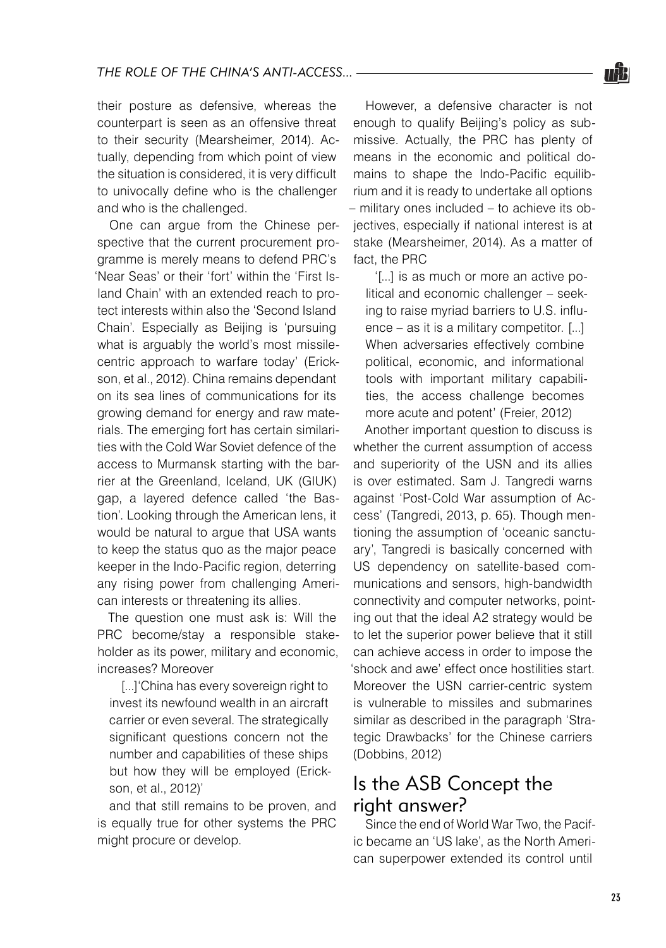their posture as defensive, whereas the counterpart is seen as an offensive threat to their security (Mearsheimer, 2014). Actually, depending from which point of view the situation is considered, it is very difficult to univocally define who is the challenger and who is the challenged.

One can argue from the Chinese perspective that the current procurement programme is merely means to defend PRC's 'Near Seas' or their 'fort' within the 'First Island Chain' with an extended reach to protect interests within also the 'Second Island Chain'. Especially as Beijing is 'pursuing what is arguably the world's most missilecentric approach to warfare today' (Erickson, et al., 2012). China remains dependant on its sea lines of communications for its growing demand for energy and raw materials. The emerging fort has certain similarities with the Cold War Soviet defence of the access to Murmansk starting with the barrier at the Greenland, Iceland, UK (GIUK) gap, a layered defence called 'the Bastion'. Looking through the American lens, it would be natural to argue that USA wants to keep the status quo as the major peace keeper in the Indo-Pacific region, deterring any rising power from challenging American interests or threatening its allies.

The question one must ask is: Will the PRC become/stay a responsible stakeholder as its power, military and economic, increases? Moreover

[...]'China has every sovereign right to invest its newfound wealth in an aircraft carrier or even several. The strategically significant questions concern not the number and capabilities of these ships but how they will be employed (Erickson, et al., 2012)'

and that still remains to be proven, and is equally true for other systems the PRC might procure or develop.

However, a defensive character is not enough to qualify Beijing's policy as submissive. Actually, the PRC has plenty of means in the economic and political domains to shape the Indo-Pacific equilibrium and it is ready to undertake all options – military ones included – to achieve its objectives, especially if national interest is at stake (Mearsheimer, 2014). As a matter of fact, the PRC

'[...] is as much or more an active political and economic challenger – seeking to raise myriad barriers to U.S. influence – as it is a military competitor. [...] When adversaries effectively combine political, economic, and informational tools with important military capabilities, the access challenge becomes more acute and potent' (Freier, 2012)

Another important question to discuss is whether the current assumption of access and superiority of the USN and its allies is over estimated. Sam J. Tangredi warns against 'Post-Cold War assumption of Access' (Tangredi, 2013, p. 65). Though mentioning the assumption of 'oceanic sanctuary', Tangredi is basically concerned with US dependency on satellite-based communications and sensors, high-bandwidth connectivity and computer networks, pointing out that the ideal A2 strategy would be to let the superior power believe that it still can achieve access in order to impose the 'shock and awe' effect once hostilities start. Moreover the USN carrier-centric system is vulnerable to missiles and submarines similar as described in the paragraph 'Strategic Drawbacks' for the Chinese carriers (Dobbins, 2012)

## Is the ASB Concept the right answer?

Since the end of World War Two, the Pacific became an 'US lake', as the North American superpower extended its control until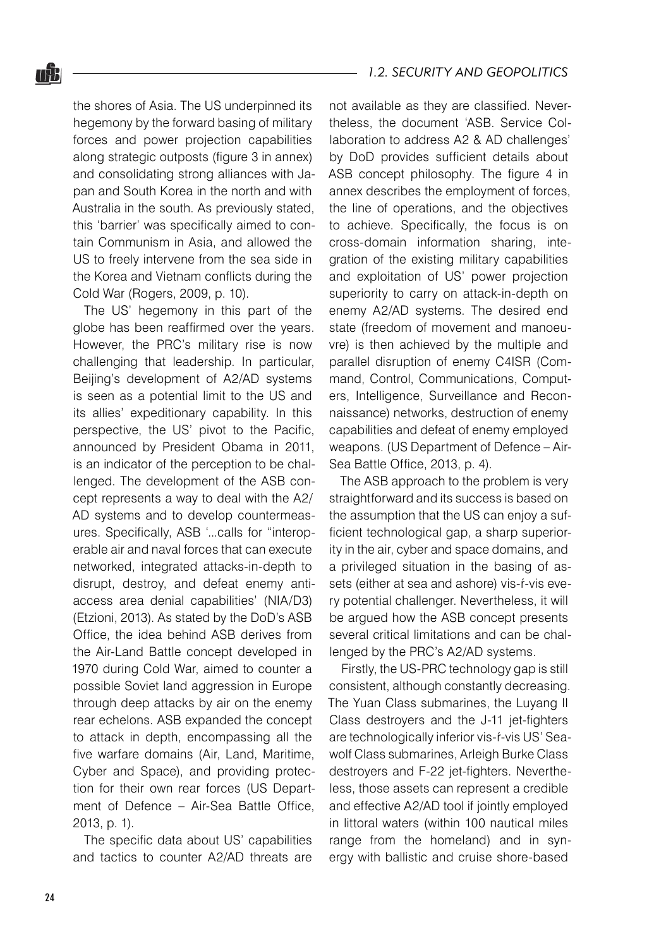the shores of Asia. The US underpinned its hegemony by the forward basing of military forces and power projection capabilities along strategic outposts (figure 3 in annex) and consolidating strong alliances with Japan and South Korea in the north and with Australia in the south. As previously stated, this 'barrier' was specifically aimed to contain Communism in Asia, and allowed the US to freely intervene from the sea side in the Korea and Vietnam conflicts during the Cold War (Rogers, 2009, p. 10).

The US' hegemony in this part of the globe has been reaffirmed over the years. However, the PRC's military rise is now challenging that leadership. In particular, Beijing's development of A2/AD systems is seen as a potential limit to the US and its allies' expeditionary capability. In this perspective, the US' pivot to the Pacific, announced by President Obama in 2011, is an indicator of the perception to be challenged. The development of the ASB concept represents a way to deal with the A2/ AD systems and to develop countermeasures. Specifically, ASB '...calls for "interoperable air and naval forces that can execute networked, integrated attacks-in-depth to disrupt, destroy, and defeat enemy antiaccess area denial capabilities' (NIA/D3) (Etzioni, 2013). As stated by the DoD's ASB Office, the idea behind ASB derives from the Air-Land Battle concept developed in 1970 during Cold War, aimed to counter a possible Soviet land aggression in Europe through deep attacks by air on the enemy rear echelons. ASB expanded the concept to attack in depth, encompassing all the five warfare domains (Air, Land, Maritime, Cyber and Space), and providing protection for their own rear forces (US Department of Defence – Air-Sea Battle Office, 2013, p. 1).

The specific data about US' capabilities and tactics to counter A2/AD threats are not available as they are classified. Nevertheless, the document 'ASB. Service Collaboration to address A2 & AD challenges' by DoD provides sufficient details about ASB concept philosophy. The figure 4 in annex describes the employment of forces, the line of operations, and the objectives to achieve. Specifically, the focus is on cross-domain information sharing, integration of the existing military capabilities and exploitation of US' power projection superiority to carry on attack-in-depth on enemy A2/AD systems. The desired end state (freedom of movement and manoeuvre) is then achieved by the multiple and parallel disruption of enemy C4ISR (Command, Control, Communications, Computers, Intelligence, Surveillance and Reconnaissance) networks, destruction of enemy capabilities and defeat of enemy employed weapons. (US Department of Defence – Air-Sea Battle Office, 2013, p. 4).

The ASB approach to the problem is very straightforward and its success is based on the assumption that the US can enjoy a sufficient technological gap, a sharp superiority in the air, cyber and space domains, and a privileged situation in the basing of assets (either at sea and ashore) vis-ŕ-vis every potential challenger. Nevertheless, it will be argued how the ASB concept presents several critical limitations and can be challenged by the PRC's A2/AD systems.

Firstly, the US-PRC technology gap is still consistent, although constantly decreasing. The Yuan Class submarines, the Luyang II Class destroyers and the J-11 jet-fighters are technologically inferior vis-ŕ-vis US' Seawolf Class submarines, Arleigh Burke Class destroyers and F-22 jet-fighters. Nevertheless, those assets can represent a credible and effective A2/AD tool if jointly employed in littoral waters (within 100 nautical miles range from the homeland) and in synergy with ballistic and cruise shore-based

nŜ.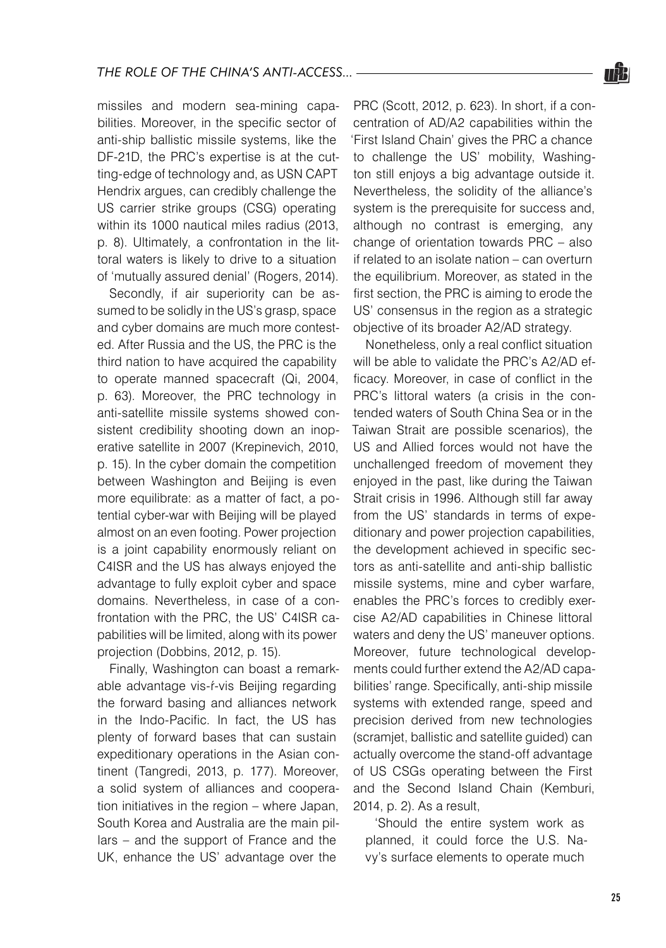missiles and modern sea-mining capabilities. Moreover, in the specific sector of anti-ship ballistic missile systems, like the DF-21D, the PRC's expertise is at the cutting-edge of technology and, as USN CAPT Hendrix argues, can credibly challenge the US carrier strike groups (CSG) operating within its 1000 nautical miles radius (2013, p. 8). Ultimately, a confrontation in the littoral waters is likely to drive to a situation of 'mutually assured denial' (Rogers, 2014).

Secondly, if air superiority can be assumed to be solidly in the US's grasp, space and cyber domains are much more contested. After Russia and the US, the PRC is the third nation to have acquired the capability to operate manned spacecraft (Qi, 2004, p. 63). Moreover, the PRC technology in anti-satellite missile systems showed consistent credibility shooting down an inoperative satellite in 2007 (Krepinevich, 2010, p. 15). In the cyber domain the competition between Washington and Beijing is even more equilibrate: as a matter of fact, a potential cyber-war with Beijing will be played almost on an even footing. Power projection is a joint capability enormously reliant on C4ISR and the US has always enjoyed the advantage to fully exploit cyber and space domains. Nevertheless, in case of a confrontation with the PRC, the US' C4ISR capabilities will be limited, along with its power projection (Dobbins, 2012, p. 15).

Finally, Washington can boast a remarkable advantage vis-ŕ-vis Beijing regarding the forward basing and alliances network in the Indo-Pacific. In fact, the US has plenty of forward bases that can sustain expeditionary operations in the Asian continent (Tangredi, 2013, p. 177). Moreover, a solid system of alliances and cooperation initiatives in the region – where Japan, South Korea and Australia are the main pillars – and the support of France and the UK, enhance the US' advantage over the

PRC (Scott, 2012, p. 623). In short, if a concentration of AD/A2 capabilities within the 'First Island Chain' gives the PRC a chance to challenge the US' mobility, Washington still enjoys a big advantage outside it. Nevertheless, the solidity of the alliance's system is the prerequisite for success and, although no contrast is emerging, any change of orientation towards PRC – also if related to an isolate nation – can overturn the equilibrium. Moreover, as stated in the first section, the PRC is aiming to erode the US' consensus in the region as a strategic objective of its broader A2/AD strategy.

Nonetheless, only a real conflict situation will be able to validate the PRC's A2/AD efficacy. Moreover, in case of conflict in the PRC's littoral waters (a crisis in the contended waters of South China Sea or in the Taiwan Strait are possible scenarios), the US and Allied forces would not have the unchallenged freedom of movement they enjoyed in the past, like during the Taiwan Strait crisis in 1996. Although still far away from the US' standards in terms of expeditionary and power projection capabilities, the development achieved in specific sectors as anti-satellite and anti-ship ballistic missile systems, mine and cyber warfare, enables the PRC's forces to credibly exercise A2/AD capabilities in Chinese littoral waters and deny the US' maneuver options. Moreover, future technological developments could further extend the A2/AD capabilities' range. Specifically, anti-ship missile systems with extended range, speed and precision derived from new technologies (scramjet, ballistic and satellite guided) can actually overcome the stand-off advantage of US CSGs operating between the First and the Second Island Chain (Kemburi, 2014, p. 2). As a result,

'Should the entire system work as planned, it could force the U.S. Navy's surface elements to operate much

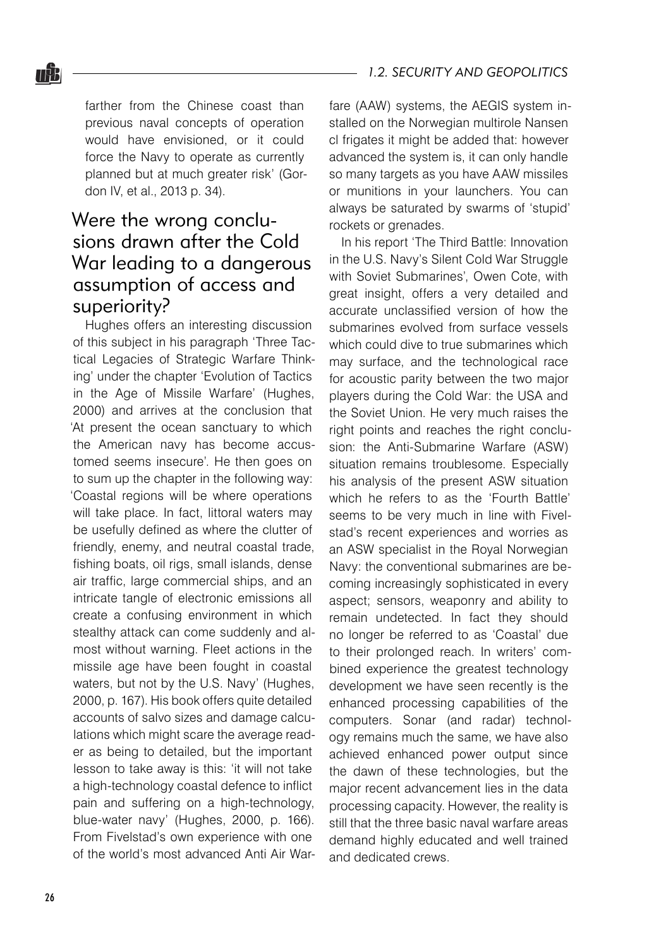farther from the Chinese coast than previous naval concepts of operation would have envisioned, or it could force the Navy to operate as currently planned but at much greater risk' (Gordon IV, et al., 2013 p. 34).

## Were the wrong conclusions drawn after the Cold War leading to a dangerous assumption of access and superiority?

Hughes offers an interesting discussion of this subject in his paragraph 'Three Tactical Legacies of Strategic Warfare Thinking' under the chapter 'Evolution of Tactics in the Age of Missile Warfare' (Hughes, 2000) and arrives at the conclusion that 'At present the ocean sanctuary to which the American navy has become accustomed seems insecure'. He then goes on to sum up the chapter in the following way: 'Coastal regions will be where operations will take place. In fact, littoral waters may be usefully defined as where the clutter of friendly, enemy, and neutral coastal trade, fishing boats, oil rigs, small islands, dense air traffic, large commercial ships, and an intricate tangle of electronic emissions all create a confusing environment in which stealthy attack can come suddenly and almost without warning. Fleet actions in the missile age have been fought in coastal waters, but not by the U.S. Navy' (Hughes, 2000, p. 167). His book offers quite detailed accounts of salvo sizes and damage calculations which might scare the average reader as being to detailed, but the important lesson to take away is this: 'it will not take a high-technology coastal defence to inflict pain and suffering on a high-technology, blue-water navy' (Hughes, 2000, p. 166). From Fivelstad's own experience with one of the world's most advanced Anti Air Warfare (AAW) systems, the AEGIS system installed on the Norwegian multirole Nansen cl frigates it might be added that: however advanced the system is, it can only handle so many targets as you have AAW missiles or munitions in your launchers. You can always be saturated by swarms of 'stupid' rockets or grenades.

In his report 'The Third Battle: Innovation in the U.S. Navy's Silent Cold War Struggle with Soviet Submarines', Owen Cote, with great insight, offers a very detailed and accurate unclassified version of how the submarines evolved from surface vessels which could dive to true submarines which may surface, and the technological race for acoustic parity between the two major players during the Cold War: the USA and the Soviet Union. He very much raises the right points and reaches the right conclusion: the Anti-Submarine Warfare (ASW) situation remains troublesome. Especially his analysis of the present ASW situation which he refers to as the 'Fourth Battle' seems to be very much in line with Fivelstad's recent experiences and worries as an ASW specialist in the Royal Norwegian Navy: the conventional submarines are becoming increasingly sophisticated in every aspect; sensors, weaponry and ability to remain undetected. In fact they should no longer be referred to as 'Coastal' due to their prolonged reach. In writers' combined experience the greatest technology development we have seen recently is the enhanced processing capabilities of the computers. Sonar (and radar) technology remains much the same, we have also achieved enhanced power output since the dawn of these technologies, but the major recent advancement lies in the data processing capacity. However, the reality is still that the three basic naval warfare areas demand highly educated and well trained and dedicated crews.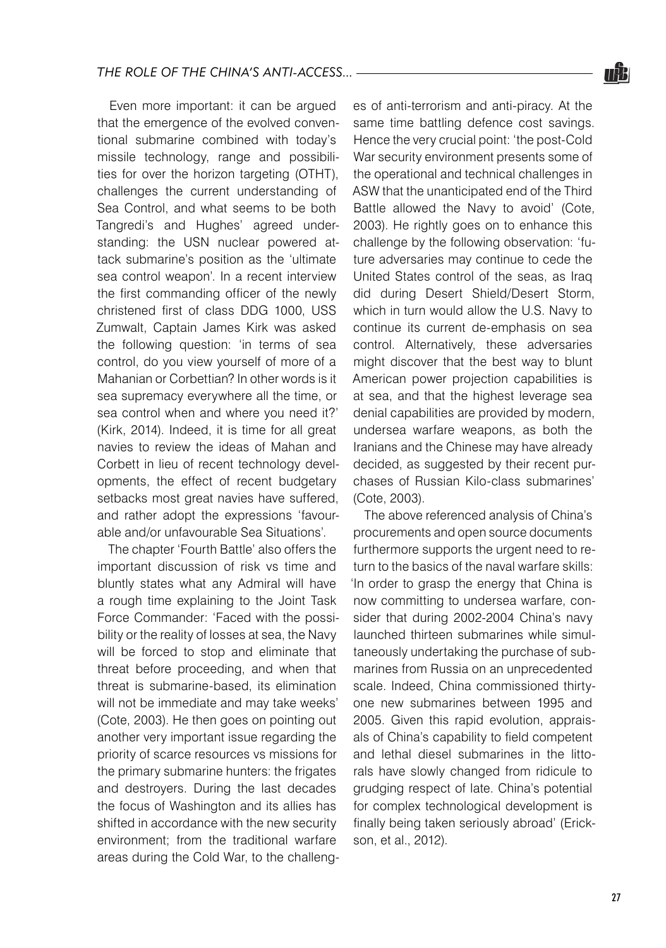Even more important: it can be argued that the emergence of the evolved conventional submarine combined with today's missile technology, range and possibilities for over the horizon targeting (OTHT), challenges the current understanding of Sea Control, and what seems to be both Tangredi's and Hughes' agreed understanding: the USN nuclear powered attack submarine's position as the 'ultimate sea control weapon'. In a recent interview the first commanding officer of the newly christened first of class DDG 1000, USS Zumwalt, Captain James Kirk was asked the following question: 'in terms of sea control, do you view yourself of more of a Mahanian or Corbettian? In other words is it sea supremacy everywhere all the time, or sea control when and where you need it?' (Kirk, 2014). Indeed, it is time for all great navies to review the ideas of Mahan and Corbett in lieu of recent technology developments, the effect of recent budgetary setbacks most great navies have suffered, and rather adopt the expressions 'favourable and/or unfavourable Sea Situations'.

The chapter 'Fourth Battle' also offers the important discussion of risk vs time and bluntly states what any Admiral will have a rough time explaining to the Joint Task Force Commander: 'Faced with the possibility or the reality of losses at sea, the Navy will be forced to stop and eliminate that threat before proceeding, and when that threat is submarine-based, its elimination will not be immediate and may take weeks' (Cote, 2003). He then goes on pointing out another very important issue regarding the priority of scarce resources vs missions for the primary submarine hunters: the frigates and destroyers. During the last decades the focus of Washington and its allies has shifted in accordance with the new security environment; from the traditional warfare areas during the Cold War, to the challenges of anti-terrorism and anti-piracy. At the same time battling defence cost savings. Hence the very crucial point: 'the post-Cold War security environment presents some of the operational and technical challenges in ASW that the unanticipated end of the Third Battle allowed the Navy to avoid' (Cote, 2003). He rightly goes on to enhance this challenge by the following observation: 'future adversaries may continue to cede the United States control of the seas, as Iraq did during Desert Shield/Desert Storm, which in turn would allow the U.S. Navy to continue its current de-emphasis on sea control. Alternatively, these adversaries might discover that the best way to blunt American power projection capabilities is at sea, and that the highest leverage sea denial capabilities are provided by modern, undersea warfare weapons, as both the Iranians and the Chinese may have already decided, as suggested by their recent purchases of Russian Kilo-class submarines' (Cote, 2003).

The above referenced analysis of China's procurements and open source documents furthermore supports the urgent need to return to the basics of the naval warfare skills: 'In order to grasp the energy that China is now committing to undersea warfare, consider that during 2002-2004 China's navy launched thirteen submarines while simultaneously undertaking the purchase of submarines from Russia on an unprecedented scale. Indeed, China commissioned thirtyone new submarines between 1995 and 2005. Given this rapid evolution, appraisals of China's capability to field competent and lethal diesel submarines in the littorals have slowly changed from ridicule to grudging respect of late. China's potential for complex technological development is finally being taken seriously abroad' (Erickson, et al., 2012).

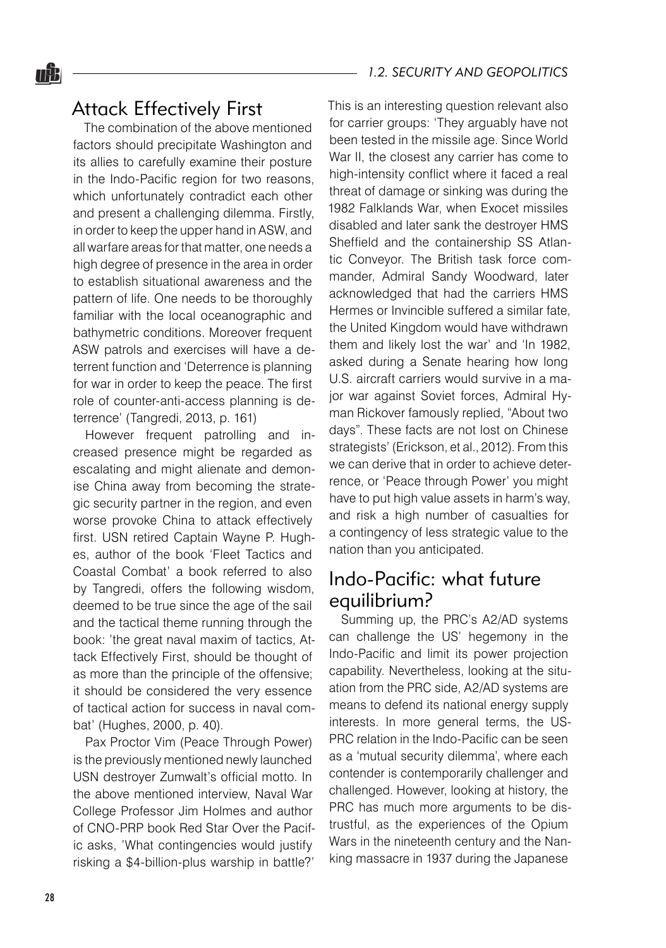## Attack Effectively First

The combination of the above mentioned factors should precipitate Washington and its allies to carefully examine their posture in the Indo-Pacific region for two reasons, which unfortunately contradict each other and present a challenging dilemma. Firstly, in order to keep the upper hand in ASW, and all warfare areas for that matter, one needs a high degree of presence in the area in order to establish situational awareness and the pattern of life. One needs to be thoroughly familiar with the local oceanographic and bathymetric conditions. Moreover frequent ASW patrols and exercises will have a deterrent function and 'Deterrence is planning for war in order to keep the peace. The first role of counter-anti-access planning is deterrence' (Tangredi, 2013, p. 161)

However frequent patrolling and increased presence might be regarded as escalating and might alienate and demonise China away from becoming the strategic security partner in the region, and even worse provoke China to attack effectively first. USN retired Captain Wayne P. Hughes, author of the book 'Fleet Tactics and Coastal Combat' a book referred to also by Tangredi, offers the following wisdom, deemed to be true since the age of the sail and the tactical theme running through the book: 'the great naval maxim of tactics, Attack Effectively First, should be thought of as more than the principle of the offensive; it should be considered the very essence of tactical action for success in naval combat' (Hughes, 2000, p. 40).

Pax Proctor Vim (Peace Through Power) is the previously mentioned newly launched USN destroyer Zumwalt's official motto. In the above mentioned interview, Naval War College Professor Jim Holmes and author of CNO-PRP book Red Star Over the Pacific asks, 'What contingencies would justify risking a \$4-billion-plus warship in battle?' This is an interesting question relevant also for carrier groups: 'They arguably have not been tested in the missile age. Since World War II, the closest any carrier has come to high-intensity conflict where it faced a real threat of damage or sinking was during the 1982 Falklands War, when Exocet missiles disabled and later sank the destroyer HMS Sheffield and the containership SS Atlantic Conveyor. The British task force commander, Admiral Sandy Woodward, later acknowledged that had the carriers HMS Hermes or Invincible suffered a similar fate, the United Kingdom would have withdrawn them and likely lost the war' and 'In 1982, asked during a Senate hearing how long U.S. aircraft carriers would survive in a major war against Soviet forces, Admiral Hyman Rickover famously replied, "About two days". These facts are not lost on Chinese strategists' (Erickson, et al., 2012). From this we can derive that in order to achieve deterrence, or 'Peace through Power' you might have to put high value assets in harm's way, and risk a high number of casualties for a contingency of less strategic value to the nation than you anticipated.

### Indo-Pacific: what future equilibrium?

Summing up, the PRC's A2/AD systems can challenge the US' hegemony in the Indo-Pacific and limit its power projection capability. Nevertheless, looking at the situation from the PRC side, A2/AD systems are means to defend its national energy supply interests. In more general terms, the US-PRC relation in the Indo-Pacific can be seen as a 'mutual security dilemma', where each contender is contemporarily challenger and challenged. However, looking at history, the PRC has much more arguments to be distrustful, as the experiences of the Opium Wars in the nineteenth century and the Nanking massacre in 1937 during the Japanese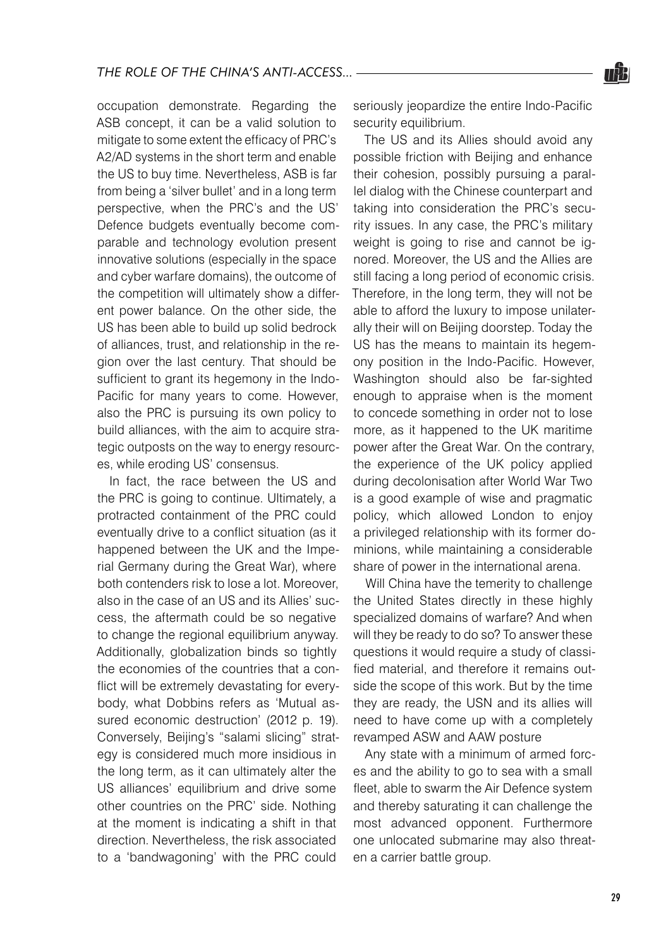occupation demonstrate. Regarding the ASB concept, it can be a valid solution to mitigate to some extent the efficacy of PRC's A2/AD systems in the short term and enable the US to buy time. Nevertheless, ASB is far from being a 'silver bullet' and in a long term perspective, when the PRC's and the US' Defence budgets eventually become comparable and technology evolution present innovative solutions (especially in the space and cyber warfare domains), the outcome of the competition will ultimately show a different power balance. On the other side, the US has been able to build up solid bedrock of alliances, trust, and relationship in the region over the last century. That should be sufficient to grant its hegemony in the Indo-Pacific for many years to come. However, also the PRC is pursuing its own policy to build alliances, with the aim to acquire strategic outposts on the way to energy resources, while eroding US' consensus.

In fact, the race between the US and the PRC is going to continue. Ultimately, a protracted containment of the PRC could eventually drive to a conflict situation (as it happened between the UK and the Imperial Germany during the Great War), where both contenders risk to lose a lot. Moreover, also in the case of an US and its Allies' success, the aftermath could be so negative to change the regional equilibrium anyway. Additionally, globalization binds so tightly the economies of the countries that a conflict will be extremely devastating for everybody, what Dobbins refers as 'Mutual assured economic destruction' (2012 p. 19). Conversely, Beijing's "salami slicing" strategy is considered much more insidious in the long term, as it can ultimately alter the US alliances' equilibrium and drive some other countries on the PRC' side. Nothing at the moment is indicating a shift in that direction. Nevertheless, the risk associated to a 'bandwagoning' with the PRC could

seriously jeopardize the entire Indo-Pacific security equilibrium.

The US and its Allies should avoid any possible friction with Beijing and enhance their cohesion, possibly pursuing a parallel dialog with the Chinese counterpart and taking into consideration the PRC's security issues. In any case, the PRC's military weight is going to rise and cannot be ignored. Moreover, the US and the Allies are still facing a long period of economic crisis. Therefore, in the long term, they will not be able to afford the luxury to impose unilaterally their will on Beijing doorstep. Today the US has the means to maintain its hegemony position in the Indo-Pacific. However, Washington should also be far-sighted enough to appraise when is the moment to concede something in order not to lose more, as it happened to the UK maritime power after the Great War. On the contrary, the experience of the UK policy applied during decolonisation after World War Two is a good example of wise and pragmatic policy, which allowed London to enjoy a privileged relationship with its former dominions, while maintaining a considerable share of power in the international arena.

Will China have the temerity to challenge the United States directly in these highly specialized domains of warfare? And when will they be ready to do so? To answer these questions it would require a study of classified material, and therefore it remains outside the scope of this work. But by the time they are ready, the USN and its allies will need to have come up with a completely revamped ASW and AAW posture

Any state with a minimum of armed forces and the ability to go to sea with a small fleet, able to swarm the Air Defence system and thereby saturating it can challenge the most advanced opponent. Furthermore one unlocated submarine may also threaten a carrier battle group.

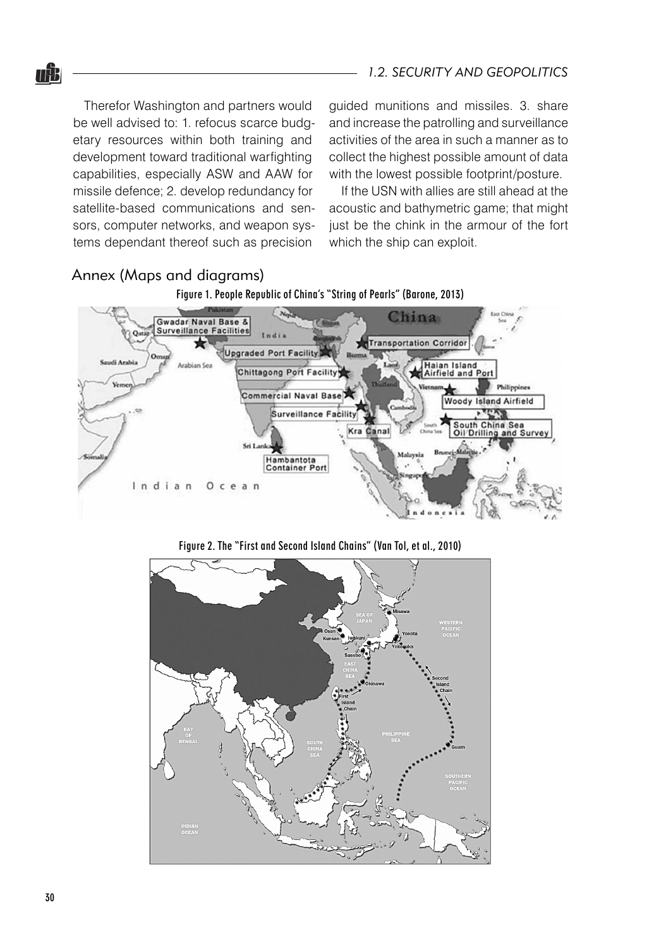Therefor Washington and partners would be well advised to: 1. refocus scarce budgetary resources within both training and development toward traditional warfighting capabilities, especially ASW and AAW for missile defence; 2. develop redundancy for satellite-based communications and sensors, computer networks, and weapon systems dependant thereof such as precision

Annex (Maps and diagrams)

<u>nâa</u>

guided munitions and missiles. 3. share and increase the patrolling and surveillance activities of the area in such a manner as to collect the highest possible amount of data with the lowest possible footprint/posture.

If the USN with allies are still ahead at the acoustic and bathymetric game; that might just be the chink in the armour of the fort which the ship can exploit.



Figure 2. The "First and Second Island Chains" (Van Tol, et al., 2010)

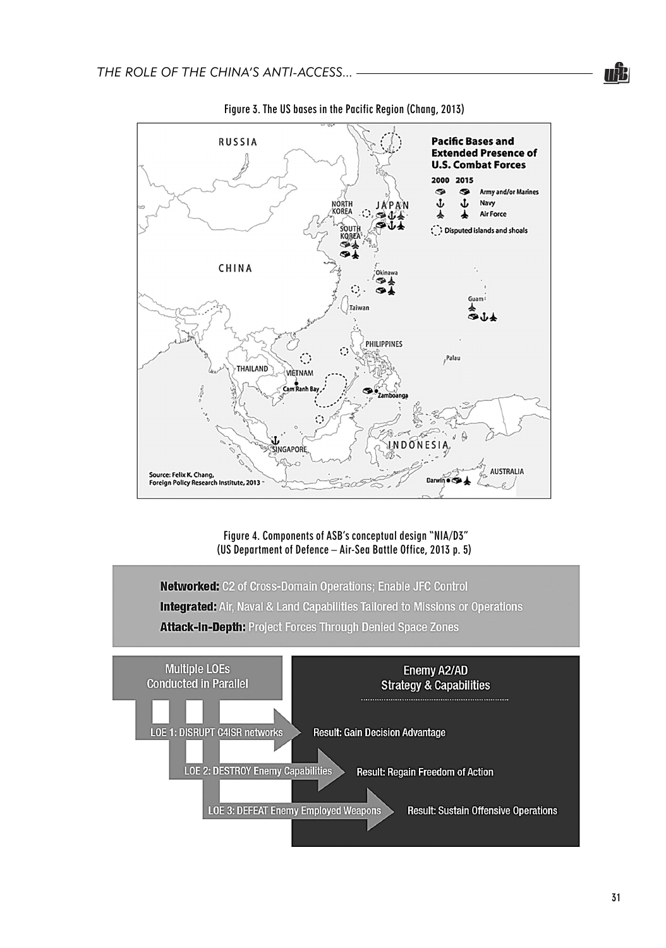

Figure 3. The US bases in the Pacific Region (Chang, 2013)

Figure 4. Components of ASB's conceptual design "NIA/D3" (US Department of Defence – Air-Sea Battle Office, 2013 p. 5)

Networked: C2 of Cross-Domain Operations; Enable JFC Control **Integrated:** Air, Naval & Land Capabilities Tailored to Missions or Operations Attack-in-Depth: Project Forces Through Denied Space Zones

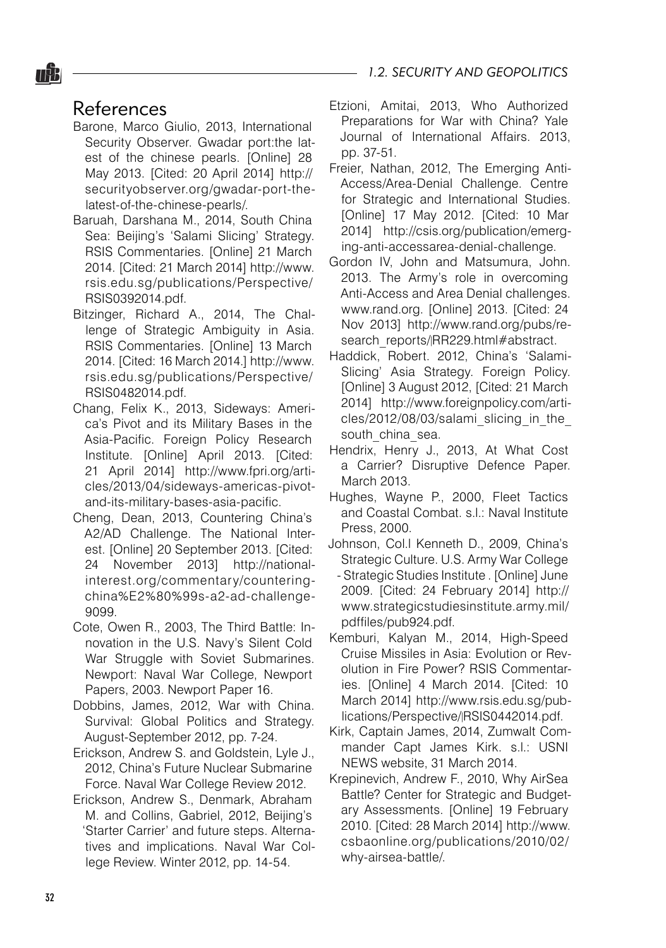### References

nŜ.

- Barone, Marco Giulio, 2013, International Security Observer. Gwadar port:the latest of the chinese pearls. [Online] 28 May 2013. [Cited: 20 April 2014] http:// securityobserver.org/gwadar-port-thelatest-of-the-chinese-pearls/.
- Baruah, Darshana M., 2014, South China Sea: Beijing's 'Salami Slicing' Strategy. RSIS Commentaries. [Online] 21 March 2014. [Cited: 21 March 2014] http://www. rsis.edu.sg/publications/Perspective/ RSIS0392014.pdf.
- Bitzinger, Richard A., 2014, The Challenge of Strategic Ambiguity in Asia. RSIS Commentaries. [Online] 13 March 2014. [Cited: 16 March 2014.] http://www. rsis.edu.sg/publications/Perspective/ RSIS0482014.pdf.
- Chang, Felix K., 2013, Sideways: America's Pivot and its Military Bases in the Asia-Pacific. Foreign Policy Research Institute. [Online] April 2013. [Cited: 21 April 2014] http://www.fpri.org/articles/2013/04/sideways-americas-pivotand-its-military-bases-asia-pacific.
- Cheng, Dean, 2013, Countering China's A2/AD Challenge. The National Interest. [Online] 20 September 2013. [Cited: 24 November 2013] http://nationalinterest.org/commentary/counteringchina%E2%80%99s-a2-ad-challenge-9099.
- Cote, Owen R., 2003, The Third Battle: Innovation in the U.S. Navy's Silent Cold War Struggle with Soviet Submarines. Newport: Naval War College, Newport Papers, 2003. Newport Paper 16.
- Dobbins, James, 2012, War with China. Survival: Global Politics and Strategy. August-September 2012, pp. 7-24.
- Erickson, Andrew S. and Goldstein, Lyle J., 2012, China's Future Nuclear Submarine Force. Naval War College Review 2012.
- Erickson, Andrew S., Denmark, Abraham M. and Collins, Gabriel, 2012, Beijing's 'Starter Carrier' and future steps. Alternatives and implications. Naval War College Review. Winter 2012, pp. 14-54.
- Etzioni, Amitai, 2013, Who Authorized Preparations for War with China? Yale Journal of International Affairs. 2013, pp. 37-51.
- Freier, Nathan, 2012, The Emerging Anti-Access/Area-Denial Challenge. Centre for Strategic and International Studies. [Online] 17 May 2012. [Cited: 10 Mar 2014] http://csis.org/publication/emerging-anti-accessarea-denial-challenge.
- Gordon IV, John and Matsumura, John. 2013. The Army's role in overcoming Anti-Access and Area Denial challenges. www.rand.org. [Online] 2013. [Cited: 24 Nov 2013] http://www.rand.org/pubs/research\_reports/<sub>RR229.html#abstract.</sub>
- Haddick, Robert. 2012, China's 'Salami-Slicing' Asia Strategy. Foreign Policy. [Online] 3 August 2012, [Cited: 21 March] 2014] http://www.foreignpolicy.com/articles/2012/08/03/salami\_slicing\_in\_the south china sea.
- Hendrix, Henry J., 2013, At What Cost a Carrier? Disruptive Defence Paper. March 2013.
- Hughes, Wayne P., 2000, Fleet Tactics and Coastal Combat. s.l.: Naval Institute Press, 2000.
- Johnson, Col.l Kenneth D., 2009, China's Strategic Culture. U.S. Army War College - Strategic Studies Institute . [Online] June 2009. [Cited: 24 February 2014] http:// www.strategicstudiesinstitute.army.mil/ pdffiles/pub924.pdf.
- Kemburi, Kalyan M., 2014, High-Speed Cruise Missiles in Asia: Evolution or Revolution in Fire Power? RSIS Commentaries. [Online] 4 March 2014. [Cited: 10 March 2014] http://www.rsis.edu.sg/publications/Perspective/RSIS0442014.pdf.
- Kirk, Captain James, 2014, Zumwalt Commander Capt James Kirk. s.l.: USNI NEWS website, 31 March 2014.
- Krepinevich, Andrew F., 2010, Why AirSea Battle? Center for Strategic and Budgetary Assessments. [Online] 19 February 2010. [Cited: 28 March 2014] http://www. csbaonline.org/publications/2010/02/ why-airsea-battle/.